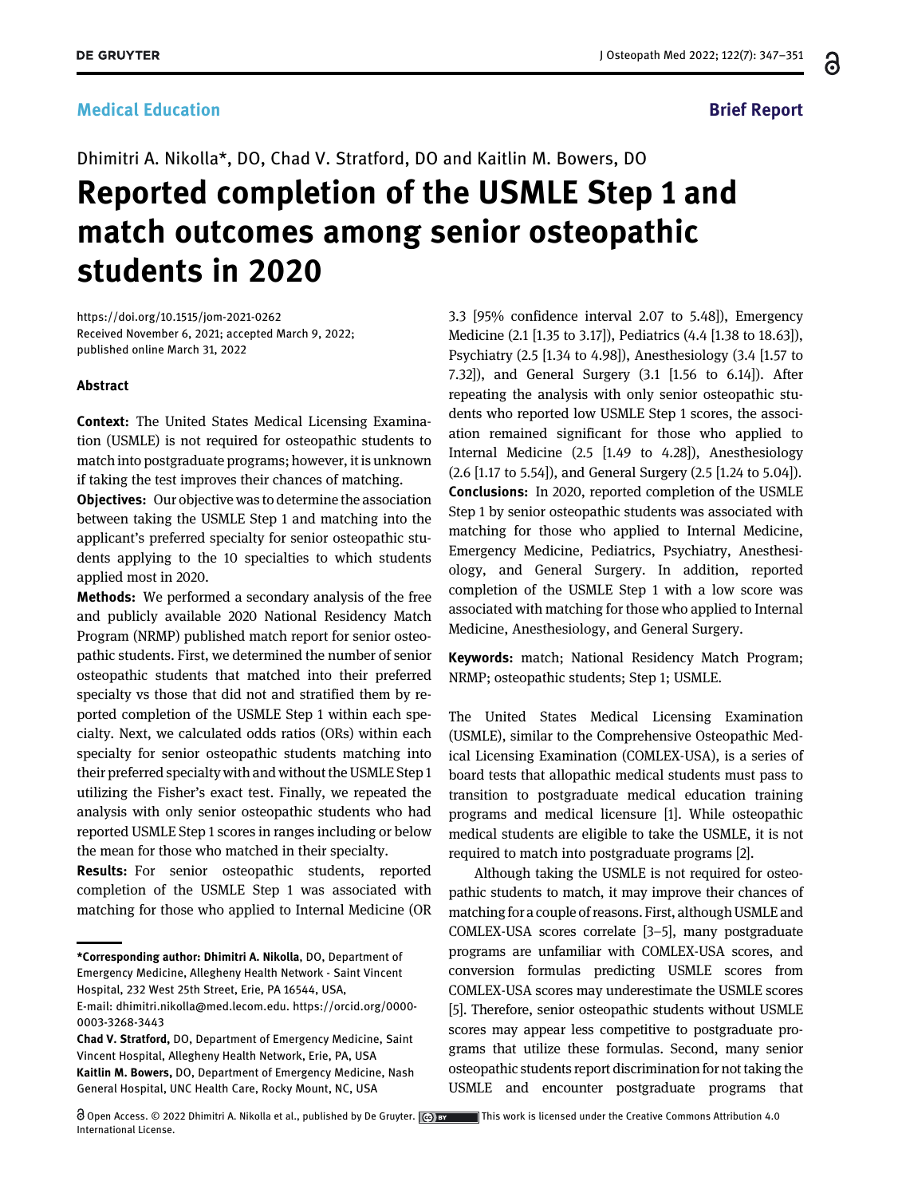႕

# Dhimitri A. Nikolla\*, DO, Chad V. Stratford, DO and Kaitlin M. Bowers, DO Reported completion of the USMLE Step 1 and match outcomes among senior osteopathic students in 2020

<https://doi.org/10.1515/jom-2021-0262> Received November 6, 2021; accepted March 9, 2022; published online March 31, 2022

#### Abstract

Context: The United States Medical Licensing Examination (USMLE) is not required for osteopathic students to match into postgraduate programs; however, it is unknown if taking the test improves their chances of matching.

Objectives: Our objective was to determine the association between taking the USMLE Step 1 and matching into the applicant's preferred specialty for senior osteopathic students applying to the 10 specialties to which students applied most in 2020.

**Methods:** We performed a secondary analysis of the free and publicly available 2020 National Residency Match Program (NRMP) published match report for senior osteopathic students. First, we determined the number of senior osteopathic students that matched into their preferred specialty vs those that did not and stratified them by reported completion of the USMLE Step 1 within each specialty. Next, we calculated odds ratios (ORs) within each specialty for senior osteopathic students matching into their preferred specialty with and without the USMLE Step 1 utilizing the Fisher's exact test. Finally, we repeated the analysis with only senior osteopathic students who had reported USMLE Step 1 scores in ranges including or below the mean for those who matched in their specialty.

Results: For senior osteopathic students, reported completion of the USMLE Step 1 was associated with matching for those who applied to Internal Medicine (OR

3.3 [95% confidence interval 2.07 to 5.48]), Emergency Medicine (2.1 [1.35 to 3.17]), Pediatrics (4.4 [1.38 to 18.63]), Psychiatry (2.5 [1.34 to 4.98]), Anesthesiology (3.4 [1.57 to 7.32]), and General Surgery (3.1 [1.56 to 6.14]). After repeating the analysis with only senior osteopathic students who reported low USMLE Step 1 scores, the association remained significant for those who applied to Internal Medicine (2.5 [1.49 to 4.28]), Anesthesiology (2.6 [1.17 to 5.54]), and General Surgery (2.5 [1.24 to 5.04]). Conclusions: In 2020, reported completion of the USMLE Step 1 by senior osteopathic students was associated with matching for those who applied to Internal Medicine, Emergency Medicine, Pediatrics, Psychiatry, Anesthesiology, and General Surgery. In addition, reported completion of the USMLE Step 1 with a low score was associated with matching for those who applied to Internal Medicine, Anesthesiology, and General Surgery.

Keywords: match; National Residency Match Program; NRMP; osteopathic students; Step 1; USMLE.

The United States Medical Licensing Examination (USMLE), similar to the Comprehensive Osteopathic Medical Licensing Examination (COMLEX-USA), is a series of board tests that allopathic medical students must pass to transition to postgraduate medical education training programs and medical licensure [\[1](#page-3-0)]. While osteopathic medical students are eligible to take the USMLE, it is not required to match into postgraduate programs [[2](#page-4-0)].

Although taking the USMLE is not required for osteopathic students to match, it may improve their chances of matching for a couple of reasons. First, although USMLE and COMLEX-USA scores correlate [3[–](#page-4-1)5], many postgraduate programs are unfamiliar with COMLEX-USA scores, and conversion formulas predicting USMLE scores from COMLEX-USA scores may underestimate the USMLE scores [\[5\]](#page-4-2). Therefore, senior osteopathic students without USMLE scores may appear less competitive to postgraduate programs that utilize these formulas. Second, many senior osteopathic students report discrimination for not taking the USMLE and encounter postgraduate programs that

<sup>\*</sup>Corresponding author: Dhimitri A. Nikolla, DO, Department of Emergency Medicine, Allegheny Health Network - Saint Vincent Hospital, 232 West 25th Street, Erie, PA 16544, USA,

E-mail: [dhimitri.nikolla@med.lecom.edu.](mailto:dhimitri.nikolla@med.lecom.edu) [https://orcid.org/0000-](https://orcid.org/0000-0003-3268-3443) [0003-3268-3443](https://orcid.org/0000-0003-3268-3443)

Chad V. Stratford, DO, Department of Emergency Medicine, Saint Vincent Hospital, Allegheny Health Network, Erie, PA, USA Kaitlin M. Bowers, DO, Department of Emergency Medicine, Nash General Hospital, UNC Health Care, Rocky Mount, NC, USA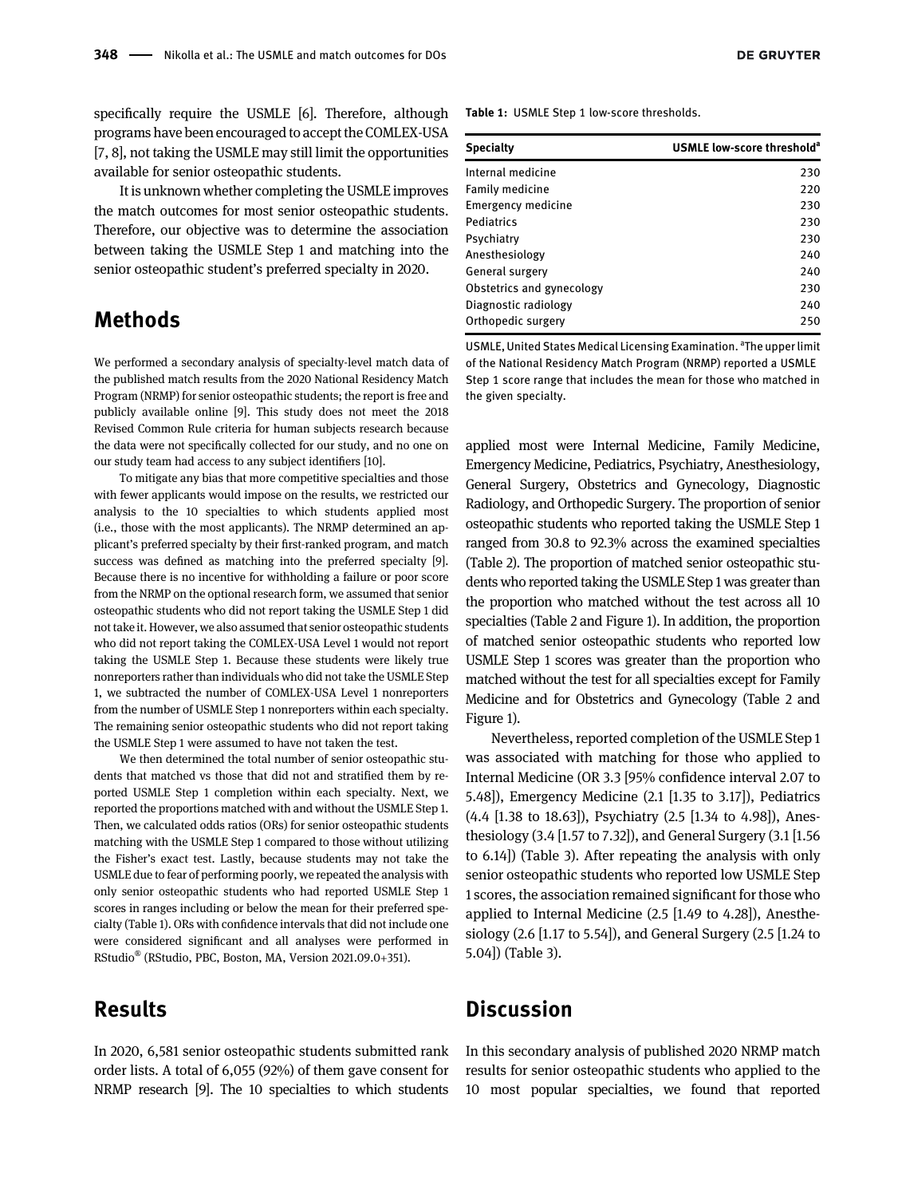specifically require the USMLE [\[6](#page-4-3)]. Therefore, although programs have been encouraged to accept the COMLEX-USA [\[7](#page-4-4), [8](#page-4-5)], not taking the USMLE may still limit the opportunities available for senior osteopathic students.

It is unknown whether completing the USMLE improves the match outcomes for most senior osteopathic students. Therefore, our objective was to determine the association between taking the USMLE Step 1 and matching into the senior osteopathic student's preferred specialty in 2020.

# Methods

We performed a secondary analysis of specialty-level match data of the published match results from the 2020 National Residency Match Program (NRMP) for senior osteopathic students; the report is free and publicly available online [\[9\]](#page-4-6). This study does not meet the 2018 Revised Common Rule criteria for human subjects research because the data were not specifically collected for our study, and no one on our study team had access to any subject identifiers [[10](#page-4-7)].

To mitigate any bias that more competitive specialties and those with fewer applicants would impose on the results, we restricted our analysis to the 10 specialties to which students applied most (i.e., those with the most applicants). The NRMP determined an applicant's preferred specialty by their first-ranked program, and match success was defined as matching into the preferred specialty [\[9](#page-4-6)]. Because there is no incentive for withholding a failure or poor score from the NRMP on the optional research form, we assumed that senior osteopathic students who did not report taking the USMLE Step 1 did not take it. However, we also assumed that senior osteopathic students who did not report taking the COMLEX-USA Level 1 would not report taking the USMLE Step 1. Because these students were likely true nonreporters rather than individuals who did not take the USMLE Step 1, we subtracted the number of COMLEX-USA Level 1 nonreporters from the number of USMLE Step 1 nonreporters within each specialty. The remaining senior osteopathic students who did not report taking the USMLE Step 1 were assumed to have not taken the test.

We then determined the total number of senior osteopathic students that matched vs those that did not and stratified them by reported USMLE Step 1 completion within each specialty. Next, we reported the proportions matched with and without the USMLE Step 1. Then, we calculated odds ratios (ORs) for senior osteopathic students matching with the USMLE Step 1 compared to those without utilizing the Fisher's exact test. Lastly, because students may not take the USMLE due to fear of performing poorly, we repeated the analysis with only senior osteopathic students who had reported USMLE Step 1 scores in ranges including or below the mean for their preferred specialty [\(Table 1\)](#page-1-0). ORs with confidence intervals that did not include one were considered significant and all analyses were performed in RStudio® (RStudio, PBC, Boston, MA, Version 2021.09.0+351).

# Results

In 2020, 6,581 senior osteopathic students submitted rank order lists. A total of 6,055 (92%) of them gave consent for NRMP research [\[9\]](#page-4-6). The 10 specialties to which students

<span id="page-1-0"></span>Table 1: USMLE Step 1 low-score thresholds.

| <b>Specialty</b>          | USMLE low-score threshold <sup>a</sup> |
|---------------------------|----------------------------------------|
| Internal medicine         | 230                                    |
| Family medicine           | 220                                    |
| Emergency medicine        | 230                                    |
| Pediatrics                | 230                                    |
| Psychiatry                | 230                                    |
| Anesthesiology            | 240                                    |
| General surgery           | 240                                    |
| Obstetrics and gynecology | 230                                    |
| Diagnostic radiology      | 240                                    |
| Orthopedic surgery        | 250                                    |

USMLE, United States Medical Licensing Examination. <sup>a</sup>The upper limit of the National Residency Match Program (NRMP) reported a USMLE Step 1 score range that includes the mean for those who matched in the given specialty.

applied most were Internal Medicine, Family Medicine, Emergency Medicine, Pediatrics, Psychiatry, Anesthesiology, General Surgery, Obstetrics and Gynecology, Diagnostic Radiology, and Orthopedic Surgery. The proportion of senior osteopathic students who reported taking the USMLE Step 1 ranged from 30.8 to 92.3% across the examined specialties [\(Table 2\)](#page-2-0). The proportion of matched senior osteopathic students who reported taking the USMLE Step 1 was greater than the proportion who matched without the test across all 10 specialties ([Table 2](#page-2-0) and [Figure 1\)](#page-2-1). In addition, the proportion of matched senior osteopathic students who reported low USMLE Step 1 scores was greater than the proportion who matched without the test for all specialties except for Family Medicine and for Obstetrics and Gynecology ([Table 2](#page-2-0) and [Figure 1\)](#page-2-1).

Nevertheless, reported completion of the USMLE Step 1 was associated with matching for those who applied to Internal Medicine (OR 3.3 [95% confidence interval 2.07 to 5.48]), Emergency Medicine (2.1 [1.35 to 3.17]), Pediatrics (4.4 [1.38 to 18.63]), Psychiatry (2.5 [1.34 to 4.98]), Anesthesiology (3.4 [1.57 to 7.32]), and General Surgery (3.1 [1.56 to 6.14]) ([Table 3\)](#page-3-1). After repeating the analysis with only senior osteopathic students who reported low USMLE Step 1 scores, the association remained significant for those who applied to Internal Medicine (2.5 [1.49 to 4.28]), Anesthesiology (2.6 [1.17 to 5.54]), and General Surgery (2.5 [1.24 to 5.04]) ([Table 3](#page-3-1)).

### **Discussion**

In this secondary analysis of published 2020 NRMP match results for senior osteopathic students who applied to the 10 most popular specialties, we found that reported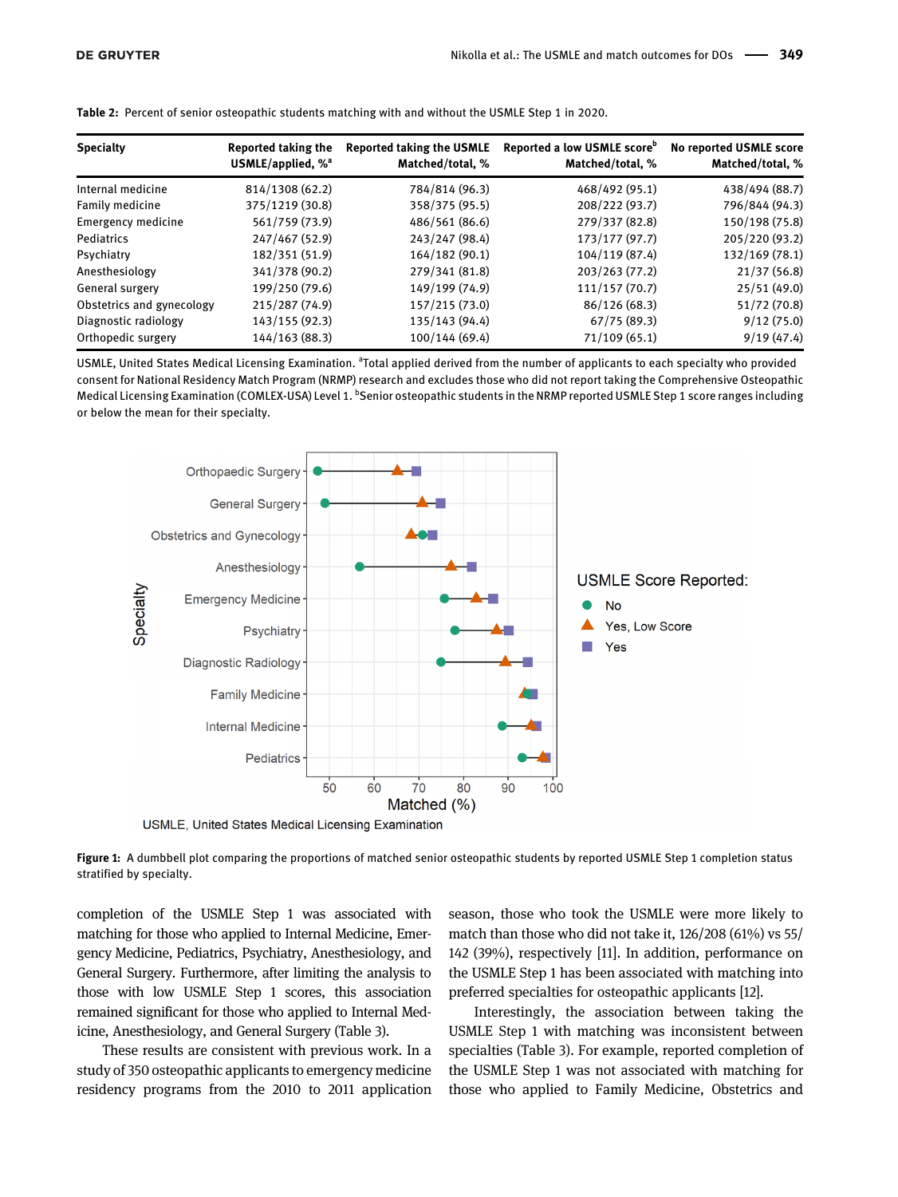| <b>Specialty</b>          | <b>Reported taking the</b>      | <b>Reported taking the USMLE</b> | Reported a low USMLE score <sup>b</sup> | No reported USMLE score |
|---------------------------|---------------------------------|----------------------------------|-----------------------------------------|-------------------------|
|                           | USMLE/applied, $%$ <sup>a</sup> | Matched/total, %                 | Matched/total, %                        | Matched/total, %        |
| Internal medicine         | 814/1308 (62.2)                 | 784/814 (96.3)                   | 468/492 (95.1)                          | 438/494 (88.7)          |
| Family medicine           | 375/1219 (30.8)                 | 358/375 (95.5)                   | 208/222 (93.7)                          | 796/844 (94.3)          |
| Emergency medicine        | 561/759 (73.9)                  | 486/561 (86.6)                   | 279/337 (82.8)                          | 150/198 (75.8)          |
| Pediatrics                | 247/467 (52.9)                  | 243/247 (98.4)                   | 173/177 (97.7)                          | 205/220 (93.2)          |
| Psychiatry                | 182/351 (51.9)                  | 164/182 (90.1)                   | 104/119 (87.4)                          | 132/169 (78.1)          |
| Anesthesiology            | 341/378 (90.2)                  | 279/341 (81.8)                   | 203/263 (77.2)                          | 21/37(56.8)             |
| General surgery           | 199/250 (79.6)                  | 149/199 (74.9)                   | 111/157(70.7)                           | 25/51 (49.0)            |
| Obstetrics and gynecology | 215/287 (74.9)                  | 157/215 (73.0)                   | 86/126 (68.3)                           | 51/72 (70.8)            |
| Diagnostic radiology      | 143/155 (92.3)                  | 135/143 (94.4)                   | 67/75(89.3)                             | 9/12(75.0)              |
| Orthopedic surgery        | 144/163 (88.3)                  | 100/144(69.4)                    | 71/109(65.1)                            | 9/19(47.4)              |

<span id="page-2-0"></span>Table 2: Percent of senior osteopathic students matching with and without the USMLE Step 1 in 2020.

USMLE, United States Medical Licensing Examination. <sup>a</sup>Total applied derived from the number of applicants to each specialty who provided consent for National Residency Match Program (NRMP) research and excludes those who did not report taking the Comprehensive Osteopathic Medical Licensing Examination (COMLEX-USA) Level 1. <sup>b</sup>Senior osteopathic students in the NRMP reported USMLE Step 1 score ranges including or below the mean for their specialty.



USMLE, United States Medical Licensing Examination

<span id="page-2-1"></span>Figure 1: A dumbbell plot comparing the proportions of matched senior osteopathic students by reported USMLE Step 1 completion status stratified by specialty.

completion of the USMLE Step 1 was associated with matching for those who applied to Internal Medicine, Emergency Medicine, Pediatrics, Psychiatry, Anesthesiology, and General Surgery. Furthermore, after limiting the analysis to those with low USMLE Step 1 scores, this association remained significant for those who applied to Internal Medicine, Anesthesiology, and General Surgery ([Table 3](#page-3-1)).

These results are consistent with previous work. In a study of 350 osteopathic applicants to emergency medicine residency programs from the 2010 to 2011 application season, those who took the USMLE were more likely to match than those who did not take it, 126/208 (61%) vs 55/ 142 (39%), respectively [[11\]](#page-4-8). In addition, performance on the USMLE Step 1 has been associated with matching into preferred specialties for osteopathic applicants [[12\]](#page-4-9).

Interestingly, the association between taking the USMLE Step 1 with matching was inconsistent between specialties ([Table 3](#page-3-1)). For example, reported completion of the USMLE Step 1 was not associated with matching for those who applied to Family Medicine, Obstetrics and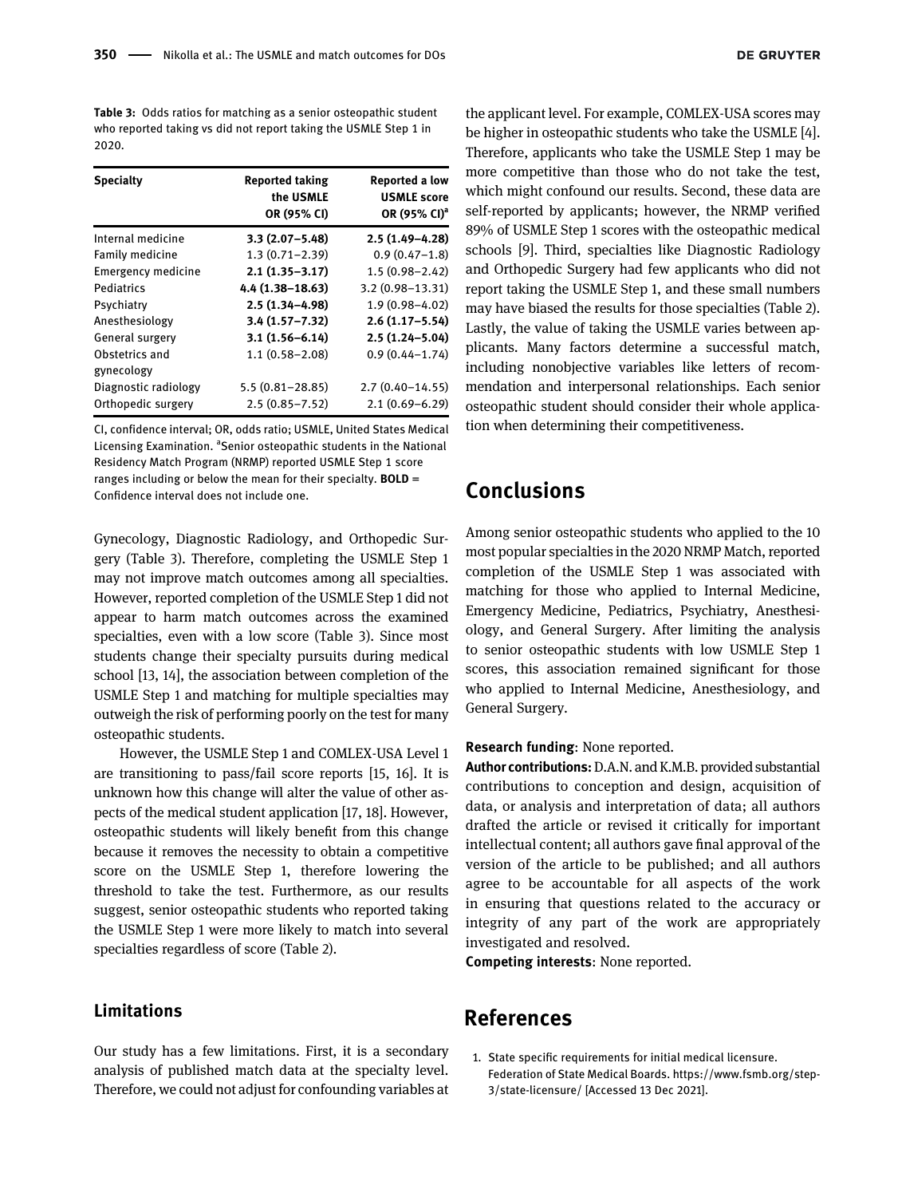<span id="page-3-1"></span>Table 3: Odds ratios for matching as a senior osteopathic student who reported taking vs did not report taking the USMLE Step 1 in 2020.

| <b>Specialty</b>             | <b>Reported taking</b><br>the USMLE<br>OR (95% CI) | <b>Reported a low</b><br><b>USMLE</b> score<br>OR (95% CI) <sup>a</sup> |
|------------------------------|----------------------------------------------------|-------------------------------------------------------------------------|
| Internal medicine            | $3.3(2.07 - 5.48)$                                 | $2.5(1.49-4.28)$                                                        |
| Family medicine              | $1.3(0.71 - 2.39)$                                 | $0.9(0.47 - 1.8)$                                                       |
| <b>Emergency medicine</b>    | $2.1(1.35 - 3.17)$                                 | $1.5(0.98 - 2.42)$                                                      |
| Pediatrics                   | 4.4 (1.38-18.63)                                   | $3.2(0.98 - 13.31)$                                                     |
| Psychiatry                   | $2.5(1.34 - 4.98)$                                 | $1.9(0.98 - 4.02)$                                                      |
| Anesthesiology               | $3.4(1.57 - 7.32)$                                 | $2.6(1.17 - 5.54)$                                                      |
| General surgery              | $3.1(1.56 - 6.14)$                                 | $2.5(1.24 - 5.04)$                                                      |
| Obstetrics and<br>gynecology | $1.1(0.58 - 2.08)$                                 | $0.9(0.44 - 1.74)$                                                      |
| Diagnostic radiology         | $5.5(0.81 - 28.85)$                                | $2.7(0.40 - 14.55)$                                                     |
| Orthopedic surgery           | $2.5(0.85 - 7.52)$                                 | $2.1(0.69 - 6.29)$                                                      |

CI, confidence interval; OR, odds ratio; USMLE, United States Medical Licensing Examination. <sup>a</sup>Senior osteopathic students in the National Residency Match Program (NRMP) reported USMLE Step 1 score ranges including or below the mean for their specialty.  $BOLD =$ Confidence interval does not include one.

Gynecology, Diagnostic Radiology, and Orthopedic Surgery ([Table 3\)](#page-3-1). Therefore, completing the USMLE Step 1 may not improve match outcomes among all specialties. However, reported completion of the USMLE Step 1 did not appear to harm match outcomes across the examined specialties, even with a low score ([Table 3\)](#page-3-1). Since most students change their specialty pursuits during medical school [\[13,](#page-4-10) [14\]](#page-4-11), the association between completion of the USMLE Step 1 and matching for multiple specialties may outweigh the risk of performing poorly on the test for many osteopathic students.

However, the USMLE Step 1 and COMLEX-USA Level 1 are transitioning to pass/fail score reports [[15,](#page-4-12) [16](#page-4-13)]. It is unknown how this change will alter the value of other aspects of the medical student application [\[17,](#page-4-14) [18\]](#page-4-15). However, osteopathic students will likely benefit from this change because it removes the necessity to obtain a competitive score on the USMLE Step 1, therefore lowering the threshold to take the test. Furthermore, as our results suggest, senior osteopathic students who reported taking the USMLE Step 1 were more likely to match into several specialties regardless of score ([Table 2\)](#page-2-0).

#### Limitations

Our study has a few limitations. First, it is a secondary analysis of published match data at the specialty level. Therefore, we could not adjust for confounding variables at

the applicant level. For example, COMLEX-USA scores may be higher in osteopathic students who take the USMLE [[4\]](#page-4-16). Therefore, applicants who take the USMLE Step 1 may be more competitive than those who do not take the test, which might confound our results. Second, these data are self-reported by applicants; however, the NRMP verified 89% of USMLE Step 1 scores with the osteopathic medical schools [[9](#page-4-6)]. Third, specialties like Diagnostic Radiology and Orthopedic Surgery had few applicants who did not report taking the USMLE Step 1, and these small numbers may have biased the results for those specialties ([Table 2\)](#page-2-0). Lastly, the value of taking the USMLE varies between applicants. Many factors determine a successful match, including nonobjective variables like letters of recommendation and interpersonal relationships. Each senior osteopathic student should consider their whole application when determining their competitiveness.

# Conclusions

Among senior osteopathic students who applied to the 10 most popular specialties in the 2020 NRMP Match, reported completion of the USMLE Step 1 was associated with matching for those who applied to Internal Medicine, Emergency Medicine, Pediatrics, Psychiatry, Anesthesiology, and General Surgery. After limiting the analysis to senior osteopathic students with low USMLE Step 1 scores, this association remained significant for those who applied to Internal Medicine, Anesthesiology, and General Surgery.

#### Research funding: None reported.

Author contributions:D.A.N. and K.M.B. provided substantial contributions to conception and design, acquisition of data, or analysis and interpretation of data; all authors drafted the article or revised it critically for important intellectual content; all authors gave final approval of the version of the article to be published; and all authors agree to be accountable for all aspects of the work in ensuring that questions related to the accuracy or integrity of any part of the work are appropriately investigated and resolved.

Competing interests: None reported.

#### References

<span id="page-3-0"></span>1. State specific requirements for initial medical licensure. Federation of State Medical Boards. [https://www.fsmb.org/step-](https://www.fsmb.org/step-3/state-licensure/)[3/state-licensure/](https://www.fsmb.org/step-3/state-licensure/) [Accessed 13 Dec 2021].